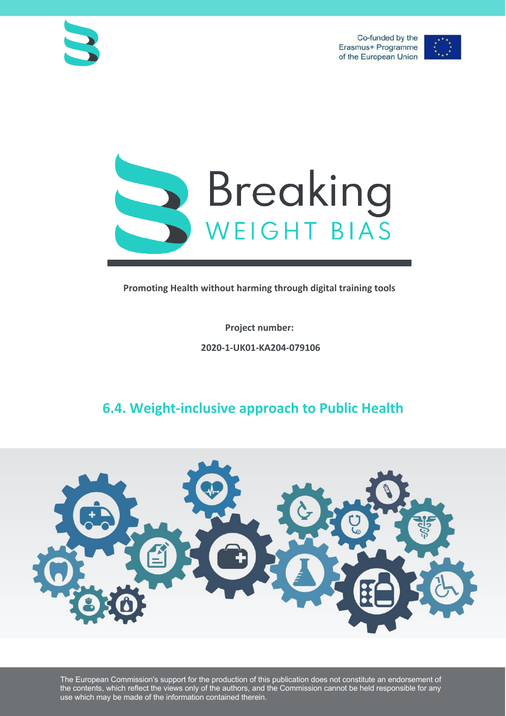



**Promoting Health without harming through digital training tools**

**Project number: 2020-1-UK01-KA204-079106**

## **6.4. Weight-inclusive approach to Public Health**



The European Commission's support for the production of this publication does not constitute an endorsement of the contents, which reflect the views only of the authors, and the Commission cannot be held responsible for any use which may be made of the information contained therein.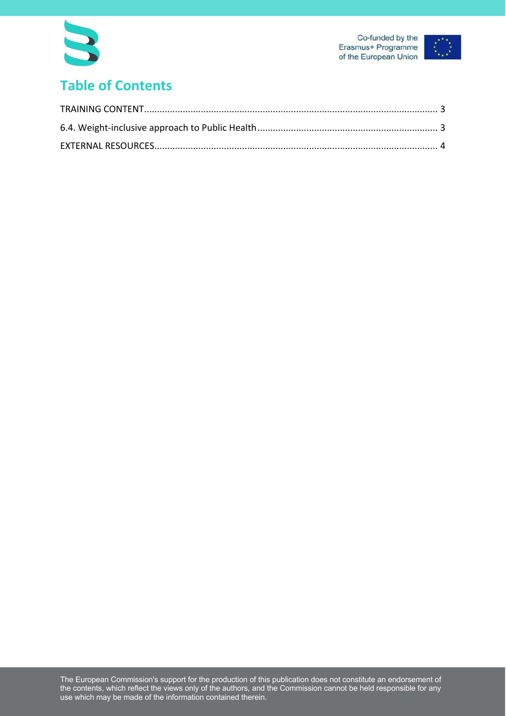



# **Table of Contents**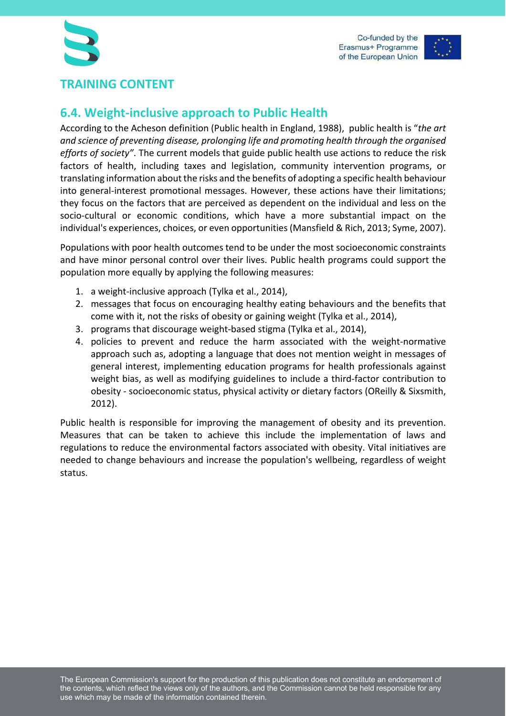

#### **TRAINING CONTENT**

### **6.4. Weight-inclusive approach to Public Health**

According to the Acheson definition (Public health in England, 1988), public health is "*the art and science of preventing disease, prolonging life and promoting health through the organised efforts of society"*. The current models that guide public health use actions to reduce the risk factors of health, including taxes and legislation, community intervention programs, or translating information about the risks and the benefits of adopting a specific health behaviour into general-interest promotional messages. However, these actions have their limitations; they focus on the factors that are perceived as dependent on the individual and less on the socio-cultural or economic conditions, which have a more substantial impact on the individual's experiences, choices, or even opportunities (Mansfield & Rich, 2013; Syme, 2007).

Populations with poor health outcomes tend to be under the most socioeconomic constraints and have minor personal control over their lives. Public health programs could support the population more equally by applying the following measures:

- 1. a weight-inclusive approach (Tylka et al., 2014),
- 2. messages that focus on encouraging healthy eating behaviours and the benefits that come with it, not the risks of obesity or gaining weight (Tylka et al., 2014),
- 3. programs that discourage weight-based stigma (Tylka et al., 2014),
- 4. policies to prevent and reduce the harm associated with the weight-normative approach such as, adopting a language that does not mention weight in messages of general interest, implementing education programs for health professionals against weight bias, as well as modifying guidelines to include a third-factor contribution to obesity - socioeconomic status, physical activity or dietary factors (OReilly & Sixsmith, 2012).

Public health is responsible for improving the management of obesity and its prevention. Measures that can be taken to achieve this include the implementation of laws and regulations to reduce the environmental factors associated with obesity. Vital initiatives are needed to change behaviours and increase the population's wellbeing, regardless of weight status.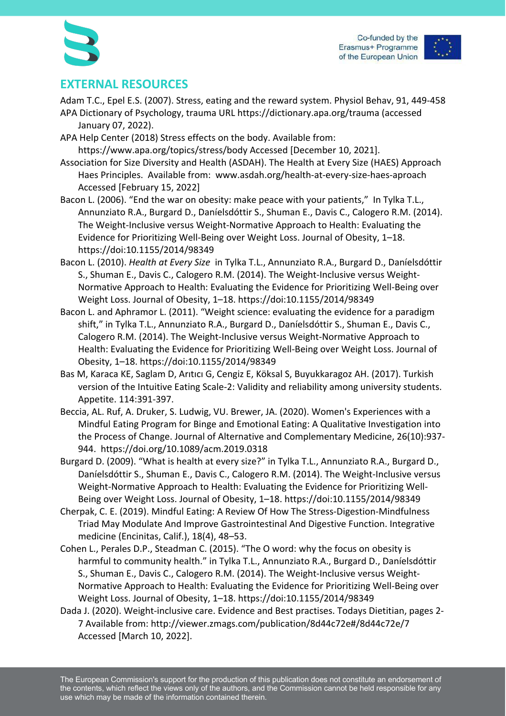



#### **EXTERNAL RESOURCES**

- Adam T.C., Epel E.S. (2007). Stress, eating and the reward system. Physiol Behav, 91, 449-458 APA Dictionary of Psychology, trauma URL https://dictionary.apa.org/trauma (accessed January 07, 2022).
- APA Help Center (2018) Stress effects on the body. Available from: https://www.apa.org/topics/stress/body Accessed [December 10, 2021].
- Association for Size Diversity and Health (ASDAH). The Health at Every Size (HAES) Approach Haes Principles. Available from: www.asdah.org/health-at-every-size-haes-aproach Accessed [February 15, 2022]
- Bacon L. (2006). "End the war on obesity: make peace with your patients," In Tylka T.L., Annunziato R.A., Burgard D., Daníelsdóttir S., Shuman E., Davis C., Calogero R.M. (2014). The Weight-Inclusive versus Weight-Normative Approach to Health: Evaluating the Evidence for Prioritizing Well-Being over Weight Loss. Journal of Obesity, 1–18. https://doi:10.1155/2014/98349
- Bacon L. (2010). *Health at Every Size* in Tylka T.L., Annunziato R.A., Burgard D., Daníelsdóttir S., Shuman E., Davis C., Calogero R.M. (2014). The Weight-Inclusive versus Weight-Normative Approach to Health: Evaluating the Evidence for Prioritizing Well-Being over Weight Loss. Journal of Obesity, 1–18. https://doi:10.1155/2014/98349
- Bacon L. and Aphramor L. (2011). "Weight science: evaluating the evidence for a paradigm shift," in Tylka T.L., Annunziato R.A., Burgard D., Daníelsdóttir S., Shuman E., Davis C., Calogero R.M. (2014). The Weight-Inclusive versus Weight-Normative Approach to Health: Evaluating the Evidence for Prioritizing Well-Being over Weight Loss. Journal of Obesity, 1–18. https://doi:10.1155/2014/98349
- Bas M, Karaca KE, Saglam D, Arıtıcı G, Cengiz E, Köksal S, Buyukkaragoz AH. (2017). Turkish version of the Intuitive Eating Scale-2: Validity and reliability among university students. Appetite. 114:391-397.
- Beccia, AL. Ruf, A. Druker, S. Ludwig, VU. Brewer, JA. (2020). Women's Experiences with a Mindful Eating Program for Binge and Emotional Eating: A Qualitative Investigation into the Process of Change. Journal of Alternative and Complementary Medicine, 26(10):937- 944. https://doi.org/10.1089/acm.2019.0318
- Burgard D. (2009). "What is health at every size?" in Tylka T.L., Annunziato R.A., Burgard D., Daníelsdóttir S., Shuman E., Davis C., Calogero R.M. (2014). The Weight-Inclusive versus Weight-Normative Approach to Health: Evaluating the Evidence for Prioritizing Well-Being over Weight Loss. Journal of Obesity, 1–18. https://doi:10.1155/2014/98349
- Cherpak, C. E. (2019). Mindful Eating: A Review Of How The Stress-Digestion-Mindfulness Triad May Modulate And Improve Gastrointestinal And Digestive Function. Integrative medicine (Encinitas, Calif.), 18(4), 48–53.
- Cohen L., Perales D.P., Steadman C. (2015). "The O word: why the focus on obesity is harmful to community health." in Tylka T.L., Annunziato R.A., Burgard D., Daníelsdóttir S., Shuman E., Davis C., Calogero R.M. (2014). The Weight-Inclusive versus Weight-Normative Approach to Health: Evaluating the Evidence for Prioritizing Well-Being over Weight Loss. Journal of Obesity, 1–18. https://doi:10.1155/2014/98349
- Dada J. (2020). Weight-inclusive care. Evidence and Best practises. Todays Dietitian, pages 2- 7 Available from: http://viewer.zmags.com/publication/8d44c72e#/8d44c72e/7 Accessed [March 10, 2022].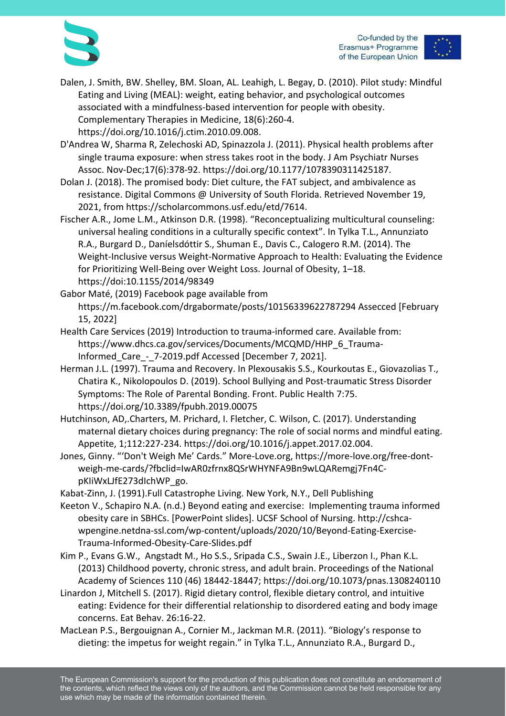

Co-funded by the Erasmus+ Programme of the European Union

- Dalen, J. Smith, BW. Shelley, BM. Sloan, AL. Leahigh, L. Begay, D. (2010). Pilot study: Mindful Eating and Living (MEAL): weight, eating behavior, and psychological outcomes associated with a mindfulness-based intervention for people with obesity. Complementary Therapies in Medicine, 18(6):260-4. https://doi.org/10.1016/j.ctim.2010.09.008.
- D'Andrea W, Sharma R, Zelechoski AD, Spinazzola J. (2011). Physical health problems after single trauma exposure: when stress takes root in the body. J Am Psychiatr Nurses Assoc. Nov-Dec;17(6):378-92. https://doi.org/10.1177/1078390311425187.
- Dolan J. (2018). The promised body: Diet culture, the FAT subject, and ambivalence as resistance. Digital Commons @ University of South Florida. Retrieved November 19, 2021, from https://scholarcommons.usf.edu/etd/7614.
- Fischer A.R., Jome L.M., Atkinson D.R. (1998). "Reconceptualizing multicultural counseling: universal healing conditions in a culturally specific context". In Tylka T.L., Annunziato R.A., Burgard D., Daníelsdóttir S., Shuman E., Davis C., Calogero R.M. (2014). The Weight-Inclusive versus Weight-Normative Approach to Health: Evaluating the Evidence for Prioritizing Well-Being over Weight Loss. Journal of Obesity, 1–18. https://doi:10.1155/2014/98349
- Gabor Maté, (2019) Facebook page available from https://m.facebook.com/drgabormate/posts/10156339622787294 Assecced [February 15, 2022]
- Health Care Services (2019) Introduction to trauma-informed care. Available from: https://www.dhcs.ca.gov/services/Documents/MCQMD/HHP\_6\_Trauma-Informed Care - 7-2019.pdf Accessed [December 7, 2021].
- Herman J.L. (1997). Trauma and Recovery. In Plexousakis S.S., Kourkoutas E., Giovazolias T., Chatira K., Nikolopoulos D. (2019). School Bullying and Post-traumatic Stress Disorder Symptoms: The Role of Parental Bonding. Front. Public Health 7:75. https://doi.org/10.3389/fpubh.2019.00075
- Hutchinson, AD,.Charters, M. Prichard, I. Fletcher, C. Wilson, C. (2017). Understanding maternal dietary choices during pregnancy: The role of social norms and mindful eating. Appetite, 1;112:227-234. https://doi.org/10.1016/j.appet.2017.02.004.
- Jones, Ginny. "'Don't Weigh Me' Cards." More-Love.org, https://more-love.org/free-dontweigh-me-cards/?fbclid=IwAR0zfrnx8QSrWHYNFA9Bn9wLQARemgj7Fn4CpKIiWxLJfE273dIchWP\_go.
- Kabat-Zinn, J. (1991).Full Catastrophe Living. New York, N.Y., Dell Publishing
- Keeton V., Schapiro N.A. (n.d.) Beyond eating and exercise: Implementing trauma informed obesity care in SBHCs. [PowerPoint slides]. UCSF School of Nursing. http://cshcawpengine.netdna-ssl.com/wp-content/uploads/2020/10/Beyond-Eating-Exercise-Trauma-Informed-Obesity-Care-Slides.pdf
- Kim P., Evans G.W., Angstadt M., Ho S.S., Sripada C.S., Swain J.E., Liberzon I., Phan K.L. (2013) Childhood poverty, chronic stress, and adult brain. Proceedings of the National Academy of Sciences 110 (46) 18442-18447; https://doi.org/10.1073/pnas.1308240110
- Linardon J, Mitchell S. (2017). Rigid dietary control, flexible dietary control, and intuitive eating: Evidence for their differential relationship to disordered eating and body image concerns. Eat Behav. 26:16-22.
- MacLean P.S., Bergouignan A., Cornier M., Jackman M.R. (2011). "Biology's response to dieting: the impetus for weight regain." in Tylka T.L., Annunziato R.A., Burgard D.,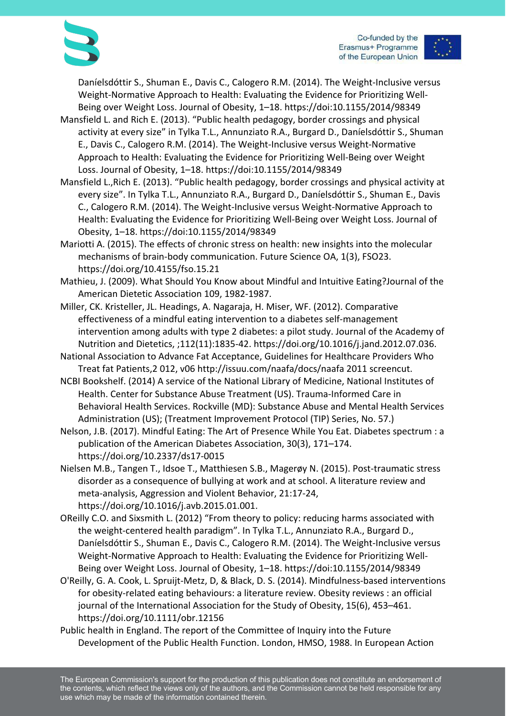

Daníelsdóttir S., Shuman E., Davis C., Calogero R.M. (2014). The Weight-Inclusive versus Weight-Normative Approach to Health: Evaluating the Evidence for Prioritizing Well-Being over Weight Loss. Journal of Obesity, 1–18. https://doi:10.1155/2014/98349

- Mansfield L. and Rich E. (2013). "Public health pedagogy, border crossings and physical activity at every size" in Tylka T.L., Annunziato R.A., Burgard D., Daníelsdóttir S., Shuman E., Davis C., Calogero R.M. (2014). The Weight-Inclusive versus Weight-Normative Approach to Health: Evaluating the Evidence for Prioritizing Well-Being over Weight Loss. Journal of Obesity, 1–18. https://doi:10.1155/2014/98349
- Mansfield L.,Rich E. (2013). "Public health pedagogy, border crossings and physical activity at every size". In Tylka T.L., Annunziato R.A., Burgard D., Daníelsdóttir S., Shuman E., Davis C., Calogero R.M. (2014). The Weight-Inclusive versus Weight-Normative Approach to Health: Evaluating the Evidence for Prioritizing Well-Being over Weight Loss. Journal of Obesity, 1–18. https://doi:10.1155/2014/98349
- Mariotti A. (2015). The effects of chronic stress on health: new insights into the molecular mechanisms of brain-body communication. Future Science OA, 1(3), FSO23. https://doi.org/10.4155/fso.15.21
- Mathieu, J. (2009). What Should You Know about Mindful and Intuitive Eating?Journal of the American Dietetic Association 109, 1982-1987.
- Miller, CK. Kristeller, JL. Headings, A. Nagaraja, H. Miser, WF. (2012). Comparative effectiveness of a mindful eating intervention to a diabetes self-management intervention among adults with type 2 diabetes: a pilot study. Journal of the Academy of Nutrition and Dietetics, ;112(11):1835-42. https://doi.org/10.1016/j.jand.2012.07.036.
- National Association to Advance Fat Acceptance, Guidelines for Healthcare Providers Who Treat fat Patients,2 012, v06 http://issuu.com/naafa/docs/naafa 2011 screencut.
- NCBI Bookshelf. (2014) A service of the National Library of Medicine, National Institutes of Health. Center for Substance Abuse Treatment (US). Trauma-Informed Care in Behavioral Health Services. Rockville (MD): Substance Abuse and Mental Health Services Administration (US); (Treatment Improvement Protocol (TIP) Series, No. 57.)
- Nelson, J.B. (2017). Mindful Eating: The Art of Presence While You Eat. Diabetes spectrum : a publication of the American Diabetes Association, 30(3), 171–174. https://doi.org/10.2337/ds17-0015
- Nielsen M.B., Tangen T., Idsoe T., Matthiesen S.B., Magerøy N. (2015). Post-traumatic stress disorder as a consequence of bullying at work and at school. A literature review and meta-analysis, Aggression and Violent Behavior, 21:17-24, https://doi.org/10.1016/j.avb.2015.01.001.
- OReilly C.O. and Sixsmith L. (2012) "From theory to policy: reducing harms associated with the weight-centered health paradigm". In Tylka T.L., Annunziato R.A., Burgard D., Daníelsdóttir S., Shuman E., Davis C., Calogero R.M. (2014). The Weight-Inclusive versus Weight-Normative Approach to Health: Evaluating the Evidence for Prioritizing Well-Being over Weight Loss. Journal of Obesity, 1–18. https://doi:10.1155/2014/98349
- O'Reilly, G. A. Cook, L. Spruijt-Metz, D, & Black, D. S. (2014). Mindfulness-based interventions for obesity-related eating behaviours: a literature review. Obesity reviews : an official journal of the International Association for the Study of Obesity, 15(6), 453–461. https://doi.org/10.1111/obr.12156
- Public health in England. The report of the Committee of Inquiry into the Future Development of the Public Health Function. London, HMSO, 1988. In European Action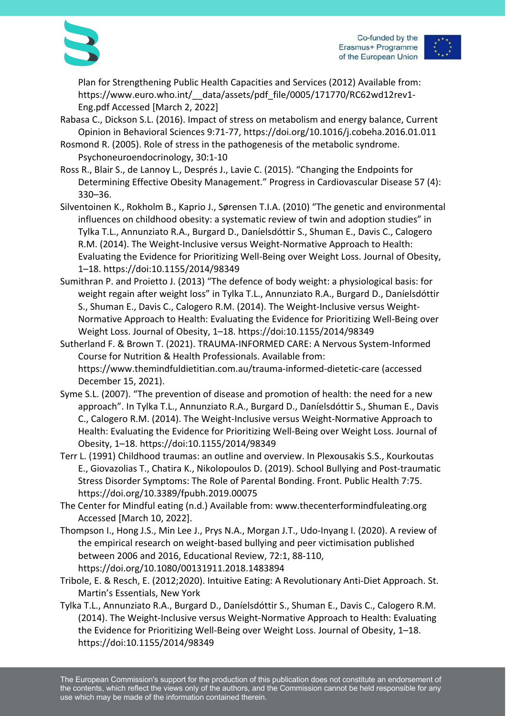



Plan for Strengthening Public Health Capacities and Services (2012) Available from: https://www.euro.who.int/\_\_data/assets/pdf\_file/0005/171770/RC62wd12rev1- Eng.pdf Accessed [March 2, 2022]

- Rabasa C., Dickson S.L. (2016). Impact of stress on metabolism and energy balance, Current Opinion in Behavioral Sciences 9:71-77, https://doi.org/10.1016/j.cobeha.2016.01.011
- Rosmond R. (2005). Role of stress in the pathogenesis of the metabolic syndrome. Psychoneuroendocrinology, 30:1-10
- Ross R., Blair S., de Lannoy L., Després J., Lavie C. (2015). "Changing the Endpoints for Determining Effective Obesity Management." Progress in Cardiovascular Disease 57 (4): 330–36.
- Silventoinen K., Rokholm B., Kaprio J., Sørensen T.I.A. (2010) "The genetic and environmental influences on childhood obesity: a systematic review of twin and adoption studies" in Tylka T.L., Annunziato R.A., Burgard D., Daníelsdóttir S., Shuman E., Davis C., Calogero R.M. (2014). The Weight-Inclusive versus Weight-Normative Approach to Health: Evaluating the Evidence for Prioritizing Well-Being over Weight Loss. Journal of Obesity, 1–18. https://doi:10.1155/2014/98349
- Sumithran P. and Proietto J. (2013) "The defence of body weight: a physiological basis: for weight regain after weight loss" in Tylka T.L., Annunziato R.A., Burgard D., Daníelsdóttir S., Shuman E., Davis C., Calogero R.M. (2014). The Weight-Inclusive versus Weight-Normative Approach to Health: Evaluating the Evidence for Prioritizing Well-Being over Weight Loss. Journal of Obesity, 1–18. https://doi:10.1155/2014/98349
- Sutherland F. & Brown T. (2021). TRAUMA-INFORMED CARE: A Nervous System-Informed Course for Nutrition & Health Professionals. Available from: https://www.themindfuldietitian.com.au/trauma-informed-dietetic-care (accessed December 15, 2021).
- Syme S.L. (2007). "The prevention of disease and promotion of health: the need for a new approach". In Tylka T.L., Annunziato R.A., Burgard D., Daníelsdóttir S., Shuman E., Davis C., Calogero R.M. (2014). The Weight-Inclusive versus Weight-Normative Approach to Health: Evaluating the Evidence for Prioritizing Well-Being over Weight Loss. Journal of Obesity, 1–18. https://doi:10.1155/2014/98349
- Terr L. (1991) Childhood traumas: an outline and overview. In Plexousakis S.S., Kourkoutas E., Giovazolias T., Chatira K., Nikolopoulos D. (2019). School Bullying and Post-traumatic Stress Disorder Symptoms: The Role of Parental Bonding. Front. Public Health 7:75. https://doi.org/10.3389/fpubh.2019.00075
- The Center for Mindful eating (n.d.) Available from: www.thecenterformindfuleating.org Accessed [March 10, 2022].
- Thompson I., Hong J.S., Min Lee J., Prys N.A., Morgan J.T., Udo-Inyang I. (2020). A review of the empirical research on weight-based bullying and peer victimisation published between 2006 and 2016, Educational Review, 72:1, 88-110, https://doi.org/10.1080/00131911.2018.1483894
- Tribole, E. & Resch, E. (2012;2020). Intuitive Eating: A Revolutionary Anti-Diet Approach. St. Martin's Essentials, New York
- Tylka T.L., Annunziato R.A., Burgard D., Daníelsdóttir S., Shuman E., Davis C., Calogero R.M. (2014). The Weight-Inclusive versus Weight-Normative Approach to Health: Evaluating the Evidence for Prioritizing Well-Being over Weight Loss. Journal of Obesity, 1–18. https://doi:10.1155/2014/98349